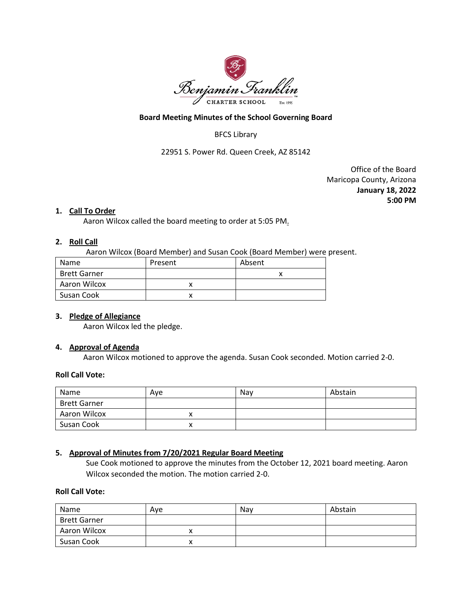

#### **Board Meeting Minutes of the School Governing Board**

# BFCS Library

22951 S. Power Rd. Queen Creek, AZ 85142

Office of the Board Maricopa County, Arizona **January 18, 2022 5:00 PM**

#### **1. Call To Order**

Aaron Wilcox called the board meeting to order at 5:05 PM.

#### **2. Roll Call**

Aaron Wilcox (Board Member) and Susan Cook (Board Member) were present.

| Name                | Present | Absent |
|---------------------|---------|--------|
| <b>Brett Garner</b> |         |        |
| Aaron Wilcox        |         |        |
| Susan Cook          |         |        |

### **3. Pledge of Allegiance**

Aaron Wilcox led the pledge.

#### **4. Approval of Agenda**

Aaron Wilcox motioned to approve the agenda. Susan Cook seconded. Motion carried 2-0.

#### **Roll Call Vote:**

| Name                | Ave | Nav | Abstain |
|---------------------|-----|-----|---------|
| <b>Brett Garner</b> |     |     |         |
| Aaron Wilcox        |     |     |         |
| Susan Cook          |     |     |         |

### **5. Approval of Minutes from 7/20/2021 Regular Board Meeting**

Sue Cook motioned to approve the minutes from the October 12, 2021 board meeting. Aaron Wilcox seconded the motion. The motion carried 2-0.

### **Roll Call Vote:**

| Name                | Ave | Nav | Abstain |
|---------------------|-----|-----|---------|
| <b>Brett Garner</b> |     |     |         |
| Aaron Wilcox        |     |     |         |
| Susan Cook          |     |     |         |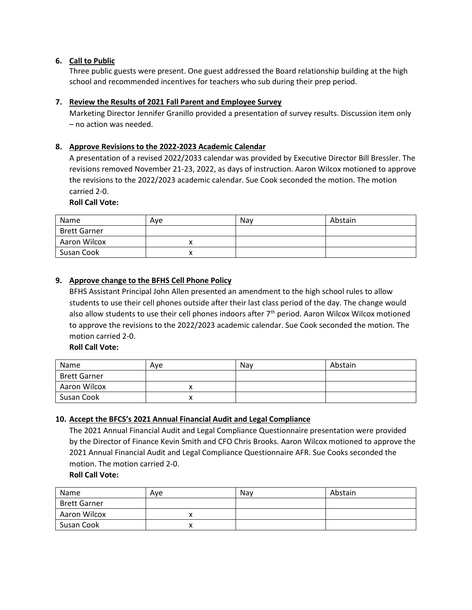# **6. Call to Public**

Three public guests were present. One guest addressed the Board relationship building at the high school and recommended incentives for teachers who sub during their prep period.

# **7. Review the Results of 2021 Fall Parent and Employee Survey**

Marketing Director Jennifer Granillo provided a presentation of survey results. Discussion item only – no action was needed.

# **8. Approve Revisions to the 2022-2023 Academic Calendar**

A presentation of a revised 2022/2033 calendar was provided by Executive Director Bill Bressler. The revisions removed November 21-23, 2022, as days of instruction. Aaron Wilcox motioned to approve the revisions to the 2022/2023 academic calendar. Sue Cook seconded the motion. The motion carried 2-0.

### **Roll Call Vote:**

| Name                | Ave | Nav | Abstain |
|---------------------|-----|-----|---------|
| <b>Brett Garner</b> |     |     |         |
| Aaron Wilcox        |     |     |         |
| Susan Cook          |     |     |         |

# **9. Approve change to the BFHS Cell Phone Policy**

BFHS Assistant Principal John Allen presented an amendment to the high school rules to allow students to use their cell phones outside after their last class period of the day. The change would also allow students to use their cell phones indoors after 7<sup>th</sup> period. Aaron Wilcox Wilcox motioned to approve the revisions to the 2022/2023 academic calendar. Sue Cook seconded the motion. The motion carried 2-0.

**Roll Call Vote:**

| Name                | Ave | Nav | Abstain |
|---------------------|-----|-----|---------|
| <b>Brett Garner</b> |     |     |         |
| Aaron Wilcox        |     |     |         |
| Susan Cook          |     |     |         |

### **10. Accept the BFCS's 2021 Annual Financial Audit and Legal Compliance**

The 2021 Annual Financial Audit and Legal Compliance Questionnaire presentation were provided by the Director of Finance Kevin Smith and CFO Chris Brooks. Aaron Wilcox motioned to approve the 2021 Annual Financial Audit and Legal Compliance Questionnaire AFR. Sue Cooks seconded the motion. The motion carried 2-0.

**Roll Call Vote:**

| Name                | Ave | Nav | Abstain |
|---------------------|-----|-----|---------|
| <b>Brett Garner</b> |     |     |         |
| Aaron Wilcox        |     |     |         |
| Susan Cook          |     |     |         |